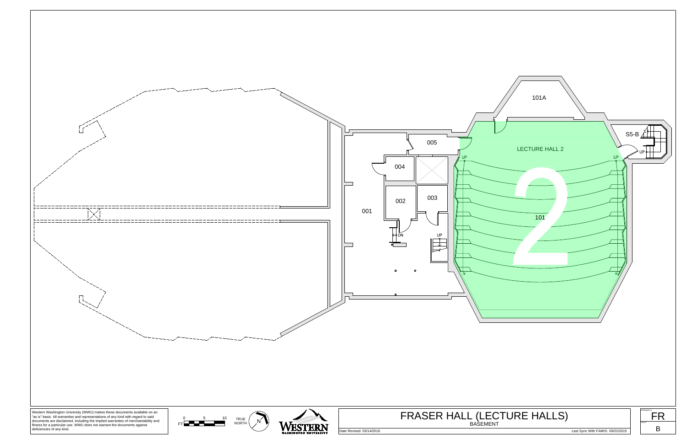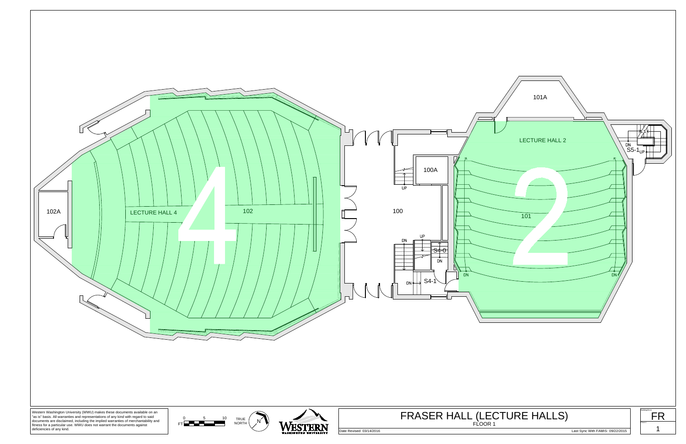